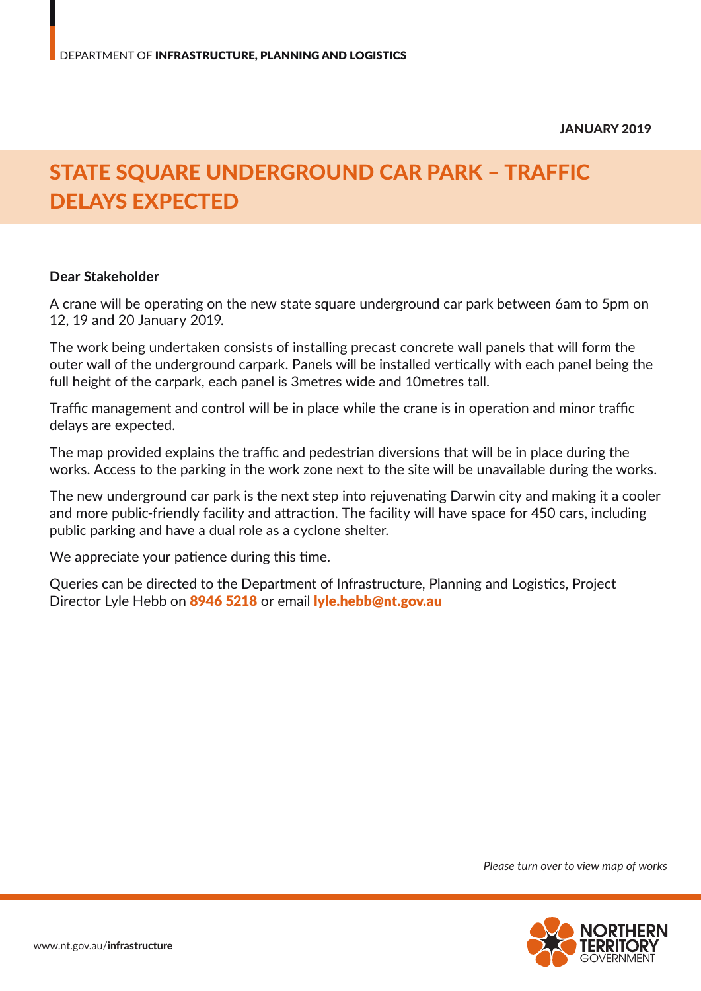## STATE SQUARE UNDERGROUND CAR PARK – TRAFFIC DELAYS EXPECTED

## **Dear Stakeholder**

A crane will be operating on the new state square underground car park between 6am to 5pm on 12, 19 and 20 January 2019.

The work being undertaken consists of installing precast concrete wall panels that will form the outer wall of the underground carpark. Panels will be installed vertically with each panel being the full height of the carpark, each panel is 3metres wide and 10metres tall.

Traffic management and control will be in place while the crane is in operation and minor traffic delays are expected.

The map provided explains the traffic and pedestrian diversions that will be in place during the works. Access to the parking in the work zone next to the site will be unavailable during the works.

The new underground car park is the next step into rejuvenating Darwin city and making it a cooler and more public-friendly facility and attraction. The facility will have space for 450 cars, including public parking and have a dual role as a cyclone shelter.

We appreciate your patience during this time.

Queries can be directed to the Department of Infrastructure, Planning and Logistics, Project Director Lyle Hebb on 8946 5218 or email lyle.hebb@nt.gov.au

*Please turn over to view map of works*